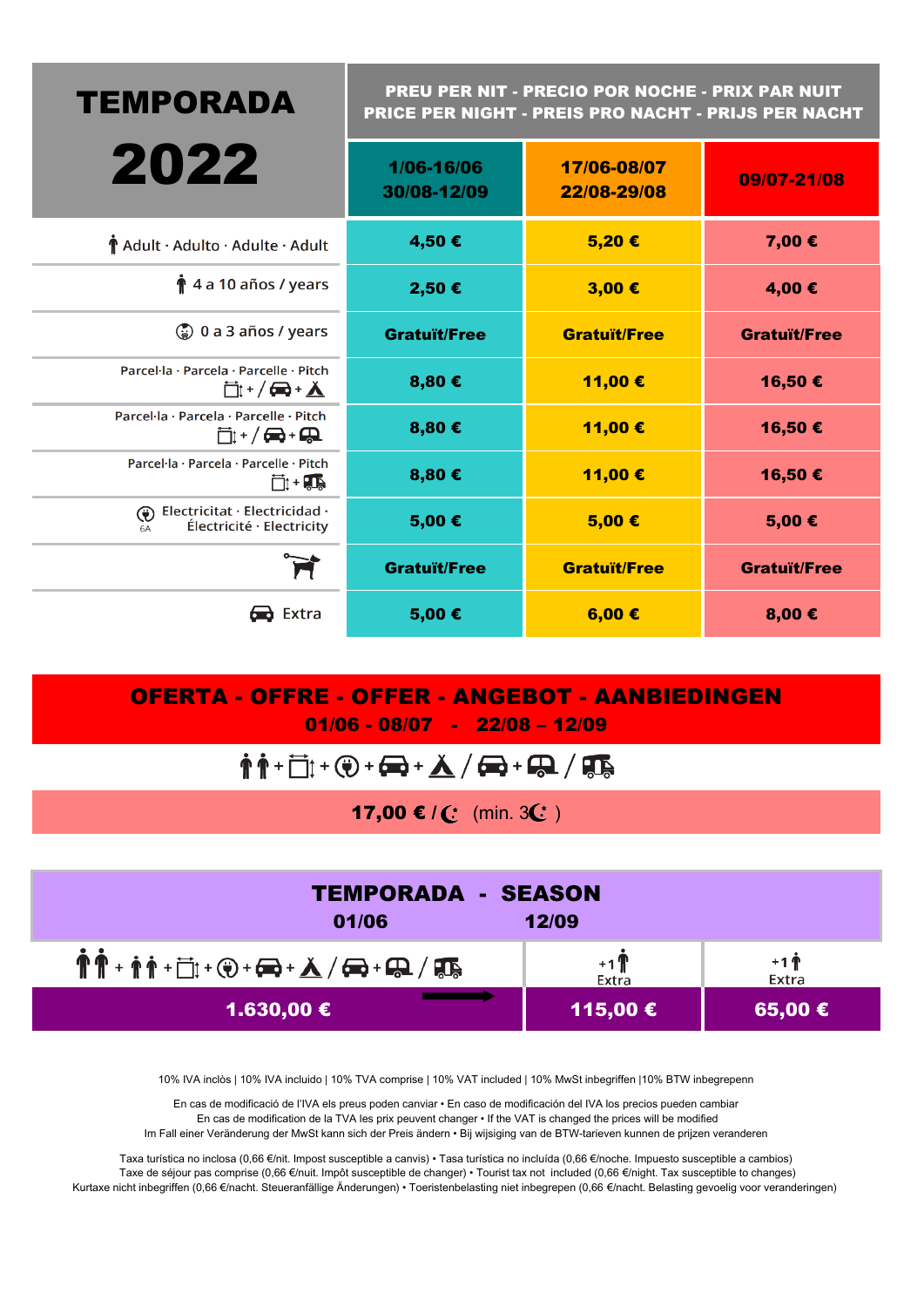| <b>TEMPORADA</b>                                                                      | PREU PER NIT - PRECIO POR NOCHE - PRIX PAR NUIT<br>PRICE PER NIGHT - PREIS PRO NACHT - PRIJS PER NACHT |                     |                     |  |  |
|---------------------------------------------------------------------------------------|--------------------------------------------------------------------------------------------------------|---------------------|---------------------|--|--|
| 2022                                                                                  | 1/06-16/06<br>17/06-08/07<br>22/08-29/08<br>30/08-12/09                                                |                     | 09/07-21/08         |  |  |
| Adult · Adulto · Adulte · Adult                                                       | 4,50€                                                                                                  | 5,20€               | 7,00 €              |  |  |
| $\hat{\mathbf{r}}$ 4 a 10 años / years                                                | 2,50 €                                                                                                 | 3,00€               | 4,00€               |  |  |
| $\binom{7}{8}$ 0 a 3 años / years                                                     | <b>Gratuït/Free</b>                                                                                    | <b>Gratuït/Free</b> | <b>Gratuït/Free</b> |  |  |
| Parcel·la · Parcela · Parcelle · Pitch<br><b>□: +/ ━+ ▲</b>                           | 8,80€                                                                                                  | 11,00 €             | 16,50€              |  |  |
| Parcel·la · Parcela · Parcelle · Pitch<br>□+/●+Q                                      | 8,80€                                                                                                  | 11,00€              | 16,50 €             |  |  |
| Parcel·la · Parcela · Parcelle · Pitch<br>可+事                                         | 8,80€                                                                                                  | 11,00€              | 16,50 €             |  |  |
| Electricitat · Electricidad ·<br>$\bigcirc$<br>Électricité · Electricity<br><b>6A</b> | 5,00€                                                                                                  | 5,00€               | 5,00€               |  |  |
| Ħ                                                                                     | <b>Gratuït/Free</b>                                                                                    | <b>Gratuït/Free</b> | <b>Gratuït/Free</b> |  |  |
| $\blacksquare$ Extra                                                                  | 5,00€                                                                                                  | 6,00 $\epsilon$     | 8,00€               |  |  |

OFERTA - OFFRE - OFFER - ANGEBOT - AANBIEDINGEN 01/06 - 08/07 - 22/08 – 12/09

$$
\color{blue}\hat{\Uparrow} \color{blue}\hat{\Uparrow} \color{blue}\hat{\top} \color{blue}\hat{\square} \color{blue}\hat{\top} \color{blue}\hat{\top} \color{blue}\hat{\mathbf{C}} \color{blue}\hat{\top} \color{blue}\hat{\top} \color{blue}\hat{\blacksquare} \color{blue}\hat{\blacksquare} \color{blue}\hat{\blacksquare} \color{blue}\hat{\blacksquare} \color{blue}\hat{\blacksquare} \color{blue}\hat{\blacksquare} \color{blue}\hat{\blacksquare} \color{blue}\hat{\blacksquare} \color{blue}\hat{\blacksquare} \color{blue}\hat{\blacksquare} \color{blue}\hat{\blacksquare} \color{blue}\hat{\blacksquare} \color{blue}\hat{\blacksquare} \color{blue}\hat{\blacksquare} \color{blue}\hat{\blacksquare} \color{blue}\hat{\blacksquare} \color{blue}\hat{\blacksquare} \color{blue}\hat{\blacksquare} \color{blue}\hat{\blacksquare} \color{blue}\hat{\blacksquare} \color{blue}\hat{\blacksquare} \color{blue}\hat{\blacksquare} \color{blue}\hat{\blacksquare} \color{blue}\hat{\blacksquare} \color{blue}\hat{\blacksquare} \color{blue}\hat{\blacksquare} \color{blue}\hat{\blacksquare} \color{blue}\hat{\blacksquare} \color{blue}\hat{\blacksquare} \color{blue}\hat{\blacksquare} \color{blue}\hat{\blacksquare} \color{blue}\hat{\blacksquare} \color{blue}\hat{\blacksquare} \color{blue}\hat{\blacksquare} \color{blue}\hat{\blacksquare} \color{blue}\hat{\blacksquare} \color{blue}\hat{\blacksquare} \color{blue}\hat{\blacksquare} \color{blue}\hat{\blacksquare} \color{blue}\hat{\blacksquare} \color{blue}\hat{\blacksquare} \color{blue}\hat{\blacksquare} \color{blue}\hat{\blacksquare} \color{blue}\hat{\blacksquare} \color{blue}\hat{\blacksquare} \color{blue}\hat{\blacksquare} \color{blue}\hat{\blacksquare} \color{blue}\hat{\blacksquare} \color{blue}\hat{\blacksquare} \color{blue}\hat{\blacksquare} \color{blue}\hat{\blacksquare} \color{blue}\hat{\blacksquare} \color{blue}\hat{\blacksquare} \color{blue}\hat{\blacksquare} \color{blue}\hat{\blacksquare} \color{blue}\hat{\blacksquare} \color{blue}\hat{\blacksquare} \color{blue}\hat{\blacksquare} \color{blue}\hat{\blacksquare} \color{blue}\hat{\blacksquare} \color{blue}\hat{\blacksquare} \
$$

17,00 € /  $($  (min. 3 $($  )

| <b>TEMPORADA - SEASON</b><br>12/09<br>01/06                                                                                                                                                                                                                                                                                                                                                              |                 |                 |  |  |  |  |  |
|----------------------------------------------------------------------------------------------------------------------------------------------------------------------------------------------------------------------------------------------------------------------------------------------------------------------------------------------------------------------------------------------------------|-----------------|-----------------|--|--|--|--|--|
| $\mathring{\P}\mathring{\P} + \mathring{\P}\mathring{\P} + \dot{\Box} \mathring{\mathring{\mathfrak{g}}} + \mathring{\bigcirc} \mathring{\mathfrak{g}} + \mathring{\bullet} \mathring{\blacklozenge} + \mathring{\blacktriangle} \mathring{\mathcal{A}} \mathring{\blacklozenge} + \mathring{\bullet} \mathring{\blacklozenge} \mathring{\mathcal{A}} \mathring{\blacklozenge} \mathring{\blacklozenge}$ | $+1$ T<br>Extra | $+1$ T<br>Extra |  |  |  |  |  |
| 1.630,00 €                                                                                                                                                                                                                                                                                                                                                                                               | 115,00 €        | 65,00 €         |  |  |  |  |  |

10% IVA inclòs | 10% IVA incluido | 10% TVA comprise | 10% VAT included | 10% MwSt inbegriffen |10% BTW inbegrepenn

En cas de modificació de l'IVA els preus poden canviar • En caso de modificación del IVA los precios pueden cambiar En cas de modification de la TVA les prix peuvent changer • If the VAT is changed the prices will be modified Im Fall einer Veränderung der MwSt kann sich der Preis ändern • Bij wijsiging van de BTW-tarieven kunnen de prijzen veranderen

Taxa turística no inclosa (0,66 €/nit. Impost susceptible a canvis) • Tasa turística no incluída (0,66 €/noche. Impuesto susceptible a cambios) Taxe de séjour pas comprise (0,66 €/nuit. Impôt susceptible de changer) • Tourist tax not included (0,66 €/night. Tax susceptible to changes) Kurtaxe nicht inbegriffen (0,66 €/nacht. Steueranfällige Änderungen) • Toeristenbelasting niet inbegrepen (0,66 €/nacht. Belasting gevoelig voor veranderingen)